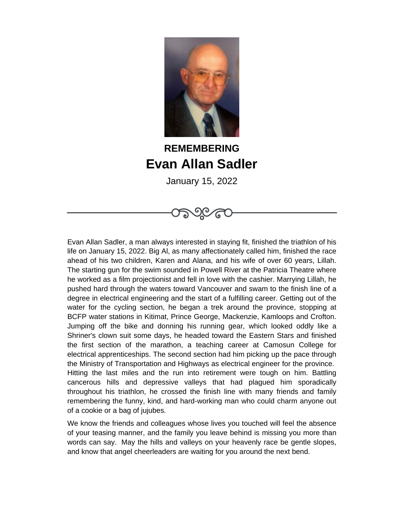

## **REMEMBERING Evan Allan Sadler**

January 15, 2022

Evan Allan Sadler, a man always interested in staying fit, finished the triathlon of his life on January 15, 2022. Big Al, as many affectionately called him, finished the race ahead of his two children, Karen and Alana, and his wife of over 60 years, Lillah. The starting gun for the swim sounded in Powell River at the Patricia Theatre where he worked as a film projectionist and fell in love with the cashier. Marrying Lillah, he pushed hard through the waters toward Vancouver and swam to the finish line of a degree in electrical engineering and the start of a fulfilling career. Getting out of the water for the cycling section, he began a trek around the province, stopping at BCFP water stations in Kitimat, Prince George, Mackenzie, Kamloops and Crofton. Jumping off the bike and donning his running gear, which looked oddly like a Shriner's clown suit some days, he headed toward the Eastern Stars and finished the first section of the marathon, a teaching career at Camosun College for electrical apprenticeships. The second section had him picking up the pace through the Ministry of Transportation and Highways as electrical engineer for the province. Hitting the last miles and the run into retirement were tough on him. Battling cancerous hills and depressive valleys that had plagued him sporadically throughout his triathlon, he crossed the finish line with many friends and family remembering the funny, kind, and hard-working man who could charm anyone out of a cookie or a bag of jujubes.

We know the friends and colleagues whose lives you touched will feel the absence of your teasing manner, and the family you leave behind is missing you more than words can say. May the hills and valleys on your heavenly race be gentle slopes, and know that angel cheerleaders are waiting for you around the next bend.